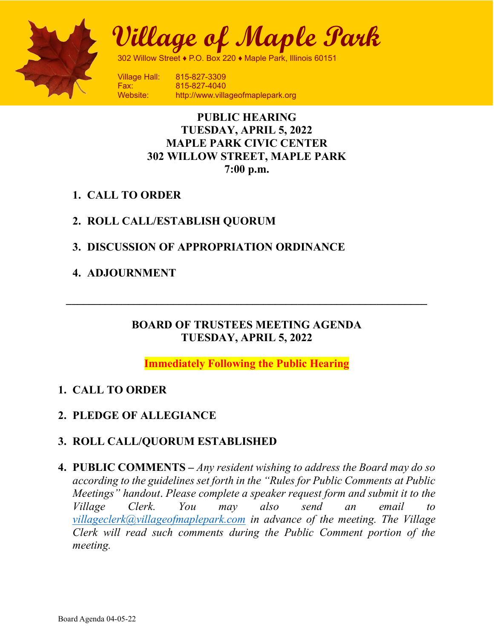

Board of Trustees Meeting Village of Maple Park

302 Willow Street ♦ P.O. Box 220 ♦ Maple Park, Illinois 60151

Fax: 815-827-4040 Website: http://www.villageofmaplepark.org

# PUBLIC HEARING TUESDAY, APRIL 5, 2022 MAPLE PARK CIVIC CENTER 302 WILLOW STREET, MAPLE PARK 7:00 p.m.

- 1. CALL TO ORDER
- 2. ROLL CALL/ESTABLISH QUORUM
- 3. DISCUSSION OF APPROPRIATION ORDINANCE
- 4. ADJOURNMENT

## BOARD OF TRUSTEES MEETING AGENDA TUESDAY, APRIL 5, 2022

Immediately Following the Public Hearing

# 1. CALL TO ORDER

2. PLEDGE OF ALLEGIANCE

# 3. ROLL CALL/QUORUM ESTABLISHED

4. PUBLIC COMMENTS – Any resident wishing to address the Board may do so according to the guidelines set forth in the "Rules for Public Comments at Public Meetings" handout. Please complete a speaker request form and submit it to the Village Clerk. You may also send an email to villageclerk@villageofmaplepark.com in advance of the meeting. The Village Clerk will read such comments during the Public Comment portion of the meeting.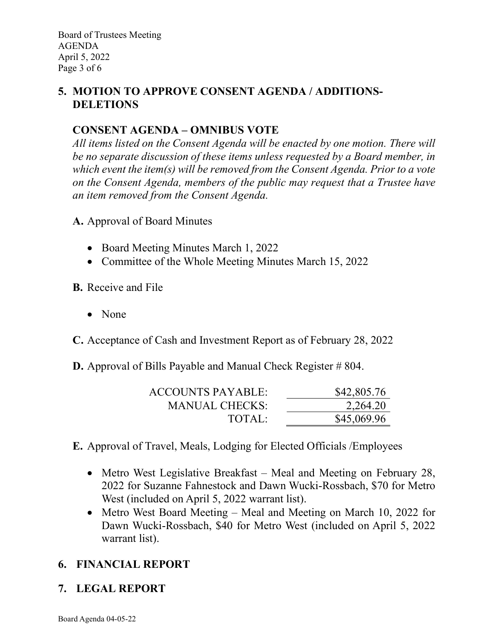# 5. MOTION TO APPROVE CONSENT AGENDA / ADDITIONS-DELETIONS

# CONSENT AGENDA – OMNIBUS VOTE

All items listed on the Consent Agenda will be enacted by one motion. There will be no separate discussion of these items unless requested by a Board member, in which event the item(s) will be removed from the Consent Agenda. Prior to a vote on the Consent Agenda, members of the public may request that a Trustee have an item removed from the Consent Agenda.

- A. Approval of Board Minutes
	- Board Meeting Minutes March 1, 2022
	- Committee of the Whole Meeting Minutes March 15, 2022
- B. Receive and File
	- None

C. Acceptance of Cash and Investment Report as of February 28, 2022

**D.** Approval of Bills Payable and Manual Check Register # 804.

| <b>ACCOUNTS PAYABLE:</b> | \$42,805.76 |
|--------------------------|-------------|
| <b>MANUAL CHECKS:</b>    | 2,264.20    |
| TOTAL:                   | \$45,069.96 |
|                          |             |

E. Approval of Travel, Meals, Lodging for Elected Officials /Employees

- Metro West Legislative Breakfast Meal and Meeting on February 28, 2022 for Suzanne Fahnestock and Dawn Wucki-Rossbach, \$70 for Metro West (included on April 5, 2022 warrant list).
- Metro West Board Meeting Meal and Meeting on March 10, 2022 for Dawn Wucki-Rossbach, \$40 for Metro West (included on April 5, 2022 warrant list).

# 6. FINANCIAL REPORT

# 7. LEGAL REPORT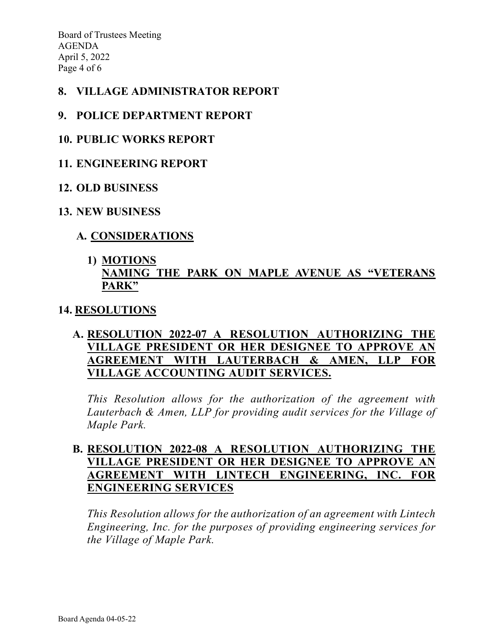Board of Trustees Meeting AGENDA April 5, 2022 Page 4 of 6

## 8. VILLAGE ADMINISTRATOR REPORT

### 9. POLICE DEPARTMENT REPORT

#### 10. PUBLIC WORKS REPORT

#### 11. ENGINEERING REPORT

#### 12. OLD BUSINESS

#### 13. NEW BUSINESS

## A. CONSIDERATIONS

## 1) MOTIONS NAMING THE PARK ON MAPLE AVENUE AS "VETERANS PARK"

#### 14. RESOLUTIONS

# A. RESOLUTION 2022-07 A RESOLUTION AUTHORIZING THE VILLAGE PRESIDENT OR HER DESIGNEE TO APPROVE AN AGREEMENT WITH LAUTERBACH & AMEN, LLP FOR VILLAGE ACCOUNTING AUDIT SERVICES.

This Resolution allows for the authorization of the agreement with Lauterbach & Amen, LLP for providing audit services for the Village of Maple Park.

## B. RESOLUTION 2022-08 A RESOLUTION AUTHORIZING THE VILLAGE PRESIDENT OR HER DESIGNEE TO APPROVE AN AGREEMENT WITH LINTECH ENGINEERING, INC. FOR ENGINEERING SERVICES

This Resolution allows for the authorization of an agreement with Lintech Engineering, Inc. for the purposes of providing engineering services for the Village of Maple Park.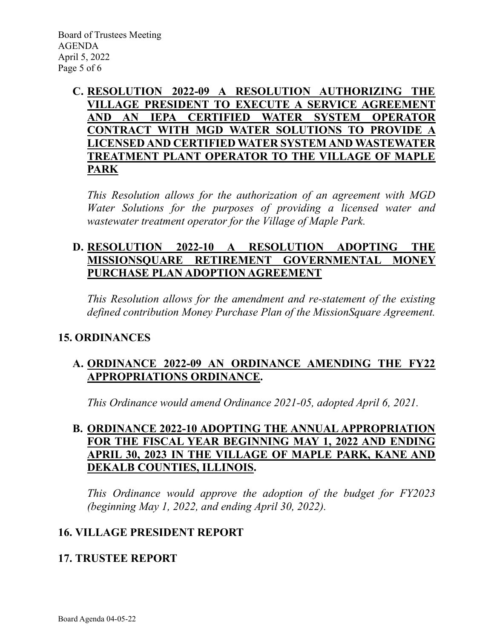## C. RESOLUTION 2022-09 A RESOLUTION AUTHORIZING THE VILLAGE PRESIDENT TO EXECUTE A SERVICE AGREEMENT AND AN IEPA CERTIFIED WATER SYSTEM OPERATOR CONTRACT WITH MGD WATER SOLUTIONS TO PROVIDE A LICENSED AND CERTIFIED WATER SYSTEM AND WASTEWATER TREATMENT PLANT OPERATOR TO THE VILLAGE OF MAPLE PARK

This Resolution allows for the authorization of an agreement with MGD Water Solutions for the purposes of providing a licensed water and wastewater treatment operator for the Village of Maple Park.

# D. RESOLUTION 2022-10 A RESOLUTION ADOPTING THE MISSIONSQUARE RETIREMENT GOVERNMENTAL MONEY PURCHASE PLAN ADOPTION AGREEMENT

This Resolution allows for the amendment and re-statement of the existing defined contribution Money Purchase Plan of the MissionSquare Agreement.

# 15. ORDINANCES

# A. ORDINANCE 2022-09 AN ORDINANCE AMENDING THE FY22 APPROPRIATIONS ORDINANCE.

This Ordinance would amend Ordinance 2021-05, adopted April 6, 2021.

## B. ORDINANCE 2022-10 ADOPTING THE ANNUAL APPROPRIATION FOR THE FISCAL YEAR BEGINNING MAY 1, 2022 AND ENDING APRIL 30, 2023 IN THE VILLAGE OF MAPLE PARK, KANE AND DEKALB COUNTIES, ILLINOIS.

This Ordinance would approve the adoption of the budget for FY2023 (beginning May 1, 2022, and ending April 30, 2022).

# 16. VILLAGE PRESIDENT REPORT

# 17. TRUSTEE REPORT